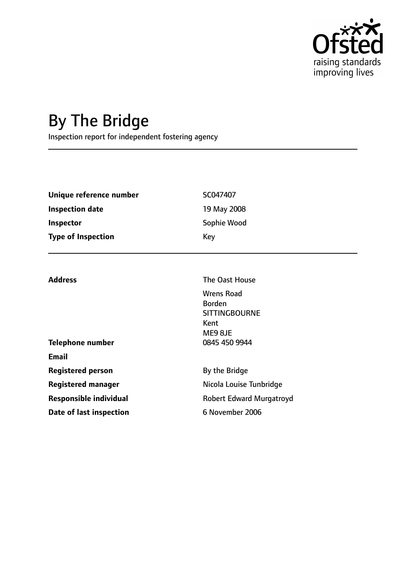

# By The Bridge

Inspection report for independent fostering agency

| Unique reference number   | SC047407    |
|---------------------------|-------------|
| Inspection date           | 19 May 2008 |
| <b>Inspector</b>          | Sophie Wood |
| <b>Type of Inspection</b> | Key         |

| <b>Address</b>                | The Oast House                                                                |  |
|-------------------------------|-------------------------------------------------------------------------------|--|
|                               | <b>Wrens Road</b><br><b>Borden</b><br><b>SITTINGBOURNE</b><br>Kent<br>ME9 8JE |  |
| <b>Telephone number</b>       | 0845 450 9944                                                                 |  |
| <b>Email</b>                  |                                                                               |  |
| <b>Registered person</b>      | By the Bridge                                                                 |  |
| <b>Registered manager</b>     | Nicola Louise Tunbridge                                                       |  |
| <b>Responsible individual</b> | <b>Robert Edward Murgatroyd</b>                                               |  |
| Date of last inspection       | 6 November 2006                                                               |  |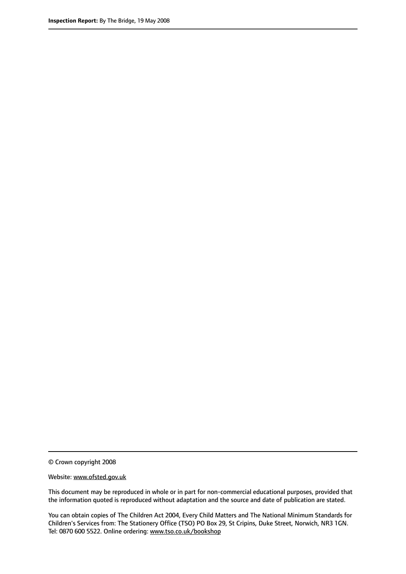© Crown copyright 2008

Website: www.ofsted.gov.uk

This document may be reproduced in whole or in part for non-commercial educational purposes, provided that the information quoted is reproduced without adaptation and the source and date of publication are stated.

You can obtain copies of The Children Act 2004, Every Child Matters and The National Minimum Standards for Children's Services from: The Stationery Office (TSO) PO Box 29, St Cripins, Duke Street, Norwich, NR3 1GN. Tel: 0870 600 5522. Online ordering: www.tso.co.uk/bookshop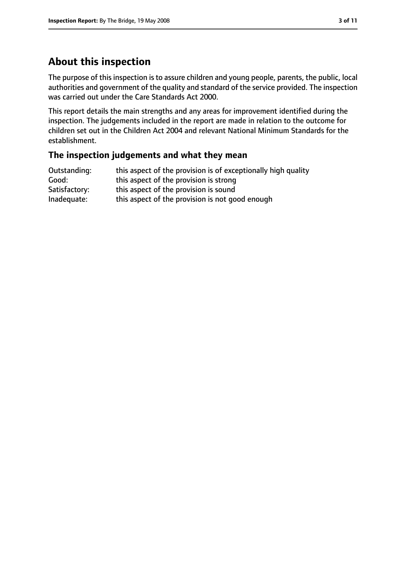# **About this inspection**

The purpose of this inspection is to assure children and young people, parents, the public, local authorities and government of the quality and standard of the service provided. The inspection was carried out under the Care Standards Act 2000.

This report details the main strengths and any areas for improvement identified during the inspection. The judgements included in the report are made in relation to the outcome for children set out in the Children Act 2004 and relevant National Minimum Standards for the establishment.

### **The inspection judgements and what they mean**

| Outstanding:  | this aspect of the provision is of exceptionally high quality |
|---------------|---------------------------------------------------------------|
| Good:         | this aspect of the provision is strong                        |
| Satisfactory: | this aspect of the provision is sound                         |
| Inadequate:   | this aspect of the provision is not good enough               |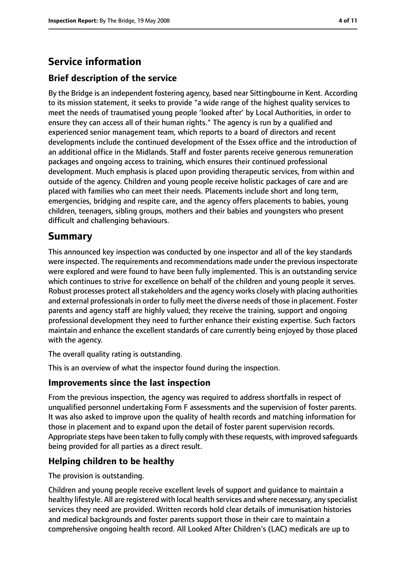# **Service information**

### **Brief description of the service**

By the Bridge is an independent fostering agency, based near Sittingbourne in Kent. According to its mission statement, it seeks to provide "a wide range of the highest quality services to meet the needs of traumatised young people 'looked after' by Local Authorities, in order to ensure they can access all of their human rights." The agency is run by a qualified and experienced senior management team, which reports to a board of directors and recent developments include the continued development of the Essex office and the introduction of an additional office in the Midlands. Staff and foster parents receive generous remuneration packages and ongoing access to training, which ensures their continued professional development. Much emphasis is placed upon providing therapeutic services, from within and outside of the agency. Children and young people receive holistic packages of care and are placed with families who can meet their needs. Placements include short and long term, emergencies, bridging and respite care, and the agency offers placements to babies, young children, teenagers, sibling groups, mothers and their babies and youngsters who present difficult and challenging behaviours.

## **Summary**

This announced key inspection was conducted by one inspector and all of the key standards were inspected. The requirements and recommendations made under the previous inspectorate were explored and were found to have been fully implemented. This is an outstanding service which continues to strive for excellence on behalf of the children and young people it serves. Robust processes protect all stakeholders and the agency works closely with placing authorities and external professionals in order to fully meet the diverse needs of those in placement. Foster parents and agency staff are highly valued; they receive the training, support and ongoing professional development they need to further enhance their existing expertise. Such factors maintain and enhance the excellent standards of care currently being enjoyed by those placed with the agency.

The overall quality rating is outstanding.

This is an overview of what the inspector found during the inspection.

### **Improvements since the last inspection**

From the previous inspection, the agency was required to address shortfalls in respect of unqualified personnel undertaking Form F assessments and the supervision of foster parents. It was also asked to improve upon the quality of health records and matching information for those in placement and to expand upon the detail of foster parent supervision records. Appropriate steps have been taken to fully comply with these requests, with improved safeguards being provided for all parties as a direct result.

### **Helping children to be healthy**

The provision is outstanding.

Children and young people receive excellent levels of support and guidance to maintain a healthy lifestyle. All are registered with local health services and where necessary, any specialist services they need are provided. Written records hold clear details of immunisation histories and medical backgrounds and foster parents support those in their care to maintain a comprehensive ongoing health record. All Looked After Children's (LAC) medicals are up to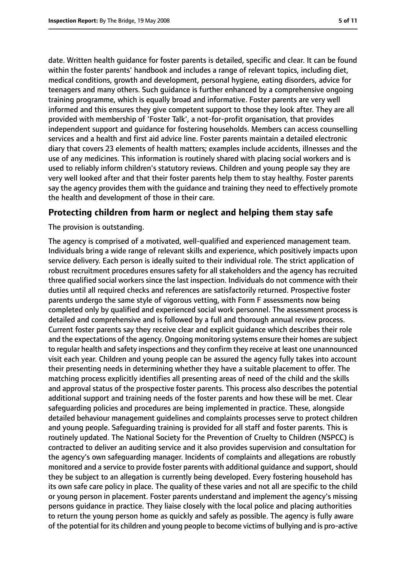date. Written health guidance for foster parents is detailed, specific and clear. It can be found within the foster parents' handbook and includes a range of relevant topics, including diet, medical conditions, growth and development, personal hygiene, eating disorders, advice for teenagers and many others. Such guidance is further enhanced by a comprehensive ongoing training programme, which is equally broad and informative. Foster parents are very well informed and this ensures they give competent support to those they look after. They are all provided with membership of 'Foster Talk', a not-for-profit organisation, that provides independent support and guidance for fostering households. Members can access counselling services and a health and first aid advice line. Foster parents maintain a detailed electronic diary that covers 23 elements of health matters; examples include accidents, illnesses and the use of any medicines. This information is routinely shared with placing social workers and is used to reliably inform children's statutory reviews. Children and young people say they are very well looked after and that their foster parents help them to stay healthy. Foster parents say the agency provides them with the guidance and training they need to effectively promote the health and development of those in their care.

### **Protecting children from harm or neglect and helping them stay safe**

#### The provision is outstanding.

The agency is comprised of a motivated, well-qualified and experienced management team. Individuals bring a wide range of relevant skills and experience, which positively impacts upon service delivery. Each person is ideally suited to their individual role. The strict application of robust recruitment procedures ensures safety for all stakeholders and the agency has recruited three qualified social workers since the last inspection. Individuals do not commence with their duties until all required checks and references are satisfactorily returned. Prospective foster parents undergo the same style of vigorous vetting, with Form F assessments now being completed only by qualified and experienced social work personnel. The assessment process is detailed and comprehensive and is followed by a full and thorough annual review process. Current foster parents say they receive clear and explicit guidance which describes their role and the expectations of the agency. Ongoing monitoring systems ensure their homes are subject to regular health and safety inspections and they confirm they receive at least one unannounced visit each year. Children and young people can be assured the agency fully takes into account their presenting needs in determining whether they have a suitable placement to offer. The matching process explicitly identifies all presenting areas of need of the child and the skills and approval status of the prospective foster parents. This process also describes the potential additional support and training needs of the foster parents and how these will be met. Clear safeguarding policies and procedures are being implemented in practice. These, alongside detailed behaviour management guidelines and complaints processes serve to protect children and young people. Safeguarding training is provided for all staff and foster parents. This is routinely updated. The National Society for the Prevention of Cruelty to Children (NSPCC) is contracted to deliver an auditing service and it also provides supervision and consultation for the agency's own safeguarding manager. Incidents of complaints and allegations are robustly monitored and a service to provide foster parents with additional guidance and support, should they be subject to an allegation is currently being developed. Every fostering household has its own safe care policy in place. The quality of these varies and not all are specific to the child or young person in placement. Foster parents understand and implement the agency's missing persons guidance in practice. They liaise closely with the local police and placing authorities to return the young person home as quickly and safely as possible. The agency is fully aware of the potential for its children and young people to become victims of bullying and is pro-active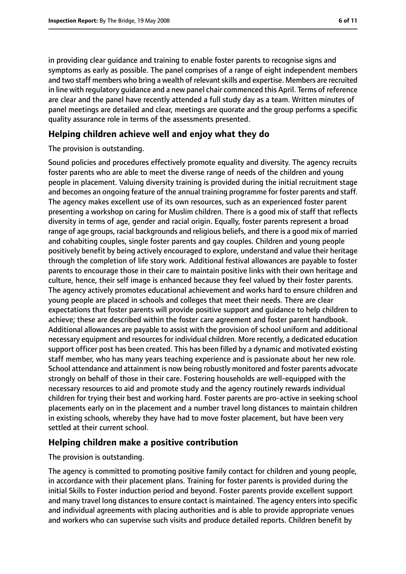in providing clear guidance and training to enable foster parents to recognise signs and symptoms as early as possible. The panel comprises of a range of eight independent members and two staff members who bring a wealth of relevant skills and expertise. Members are recruited in line with regulatory guidance and a new panel chair commenced this April. Terms of reference are clear and the panel have recently attended a full study day as a team. Written minutes of panel meetings are detailed and clear, meetings are quorate and the group performs a specific quality assurance role in terms of the assessments presented.

### **Helping children achieve well and enjoy what they do**

#### The provision is outstanding.

Sound policies and procedures effectively promote equality and diversity. The agency recruits foster parents who are able to meet the diverse range of needs of the children and young people in placement. Valuing diversity training is provided during the initial recruitment stage and becomes an ongoing feature of the annual training programme for foster parents and staff. The agency makes excellent use of its own resources, such as an experienced foster parent presenting a workshop on caring for Muslim children. There is a good mix of staff that reflects diversity in terms of age, gender and racial origin. Equally, foster parents represent a broad range of age groups, racial backgrounds and religious beliefs, and there is a good mix of married and cohabiting couples, single foster parents and gay couples. Children and young people positively benefit by being actively encouraged to explore, understand and value their heritage through the completion of life story work. Additional festival allowances are payable to foster parents to encourage those in their care to maintain positive links with their own heritage and culture, hence, their self image is enhanced because they feel valued by their foster parents. The agency actively promotes educational achievement and works hard to ensure children and young people are placed in schools and colleges that meet their needs. There are clear expectations that foster parents will provide positive support and guidance to help children to achieve; these are described within the foster care agreement and foster parent handbook. Additional allowances are payable to assist with the provision of school uniform and additional necessary equipment and resources for individual children. More recently, a dedicated education support officer post has been created. This has been filled by a dynamic and motivated existing staff member, who has many years teaching experience and is passionate about her new role. School attendance and attainment is now being robustly monitored and foster parents advocate strongly on behalf of those in their care. Fostering households are well-equipped with the necessary resources to aid and promote study and the agency routinely rewards individual children for trying their best and working hard. Foster parents are pro-active in seeking school placements early on in the placement and a number travel long distances to maintain children in existing schools, whereby they have had to move foster placement, but have been very settled at their current school.

### **Helping children make a positive contribution**

The provision is outstanding.

The agency is committed to promoting positive family contact for children and young people, in accordance with their placement plans. Training for foster parents is provided during the initial Skills to Foster induction period and beyond. Foster parents provide excellent support and many travel long distances to ensure contact is maintained. The agency enters into specific and individual agreements with placing authorities and is able to provide appropriate venues and workers who can supervise such visits and produce detailed reports. Children benefit by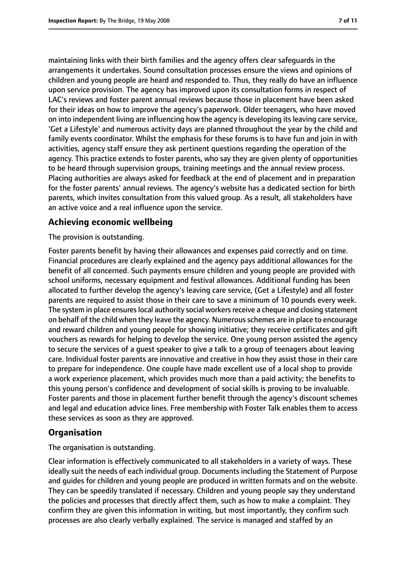maintaining links with their birth families and the agency offers clear safeguards in the arrangements it undertakes. Sound consultation processes ensure the views and opinions of children and young people are heard and responded to. Thus, they really do have an influence upon service provision. The agency has improved upon its consultation forms in respect of LAC's reviews and foster parent annual reviews because those in placement have been asked for their ideas on how to improve the agency's paperwork. Older teenagers, who have moved on into independent living are influencing how the agency is developing its leaving care service, 'Get a Lifestyle' and numerous activity days are planned throughout the year by the child and family events coordinator. Whilst the emphasis for these forums is to have fun and join in with activities, agency staff ensure they ask pertinent questions regarding the operation of the agency. This practice extends to foster parents, who say they are given plenty of opportunities to be heard through supervision groups, training meetings and the annual review process. Placing authorities are always asked for feedback at the end of placement and in preparation for the foster parents' annual reviews. The agency's website has a dedicated section for birth parents, which invites consultation from this valued group. As a result, all stakeholders have an active voice and a real influence upon the service.

### **Achieving economic wellbeing**

The provision is outstanding.

Foster parents benefit by having their allowances and expenses paid correctly and on time. Financial procedures are clearly explained and the agency pays additional allowances for the benefit of all concerned. Such payments ensure children and young people are provided with school uniforms, necessary equipment and festival allowances. Additional funding has been allocated to further develop the agency's leaving care service, (Get a Lifestyle) and all foster parents are required to assist those in their care to save a minimum of 10 pounds every week. The system in place ensures local authority social workers receive a cheque and closing statement on behalf of the child when they leave the agency. Numerousschemes are in place to encourage and reward children and young people for showing initiative; they receive certificates and gift vouchers as rewards for helping to develop the service. One young person assisted the agency to secure the services of a guest speaker to give a talk to a group of teenagers about leaving care. Individual foster parents are innovative and creative in how they assist those in their care to prepare for independence. One couple have made excellent use of a local shop to provide a work experience placement, which provides much more than a paid activity; the benefits to this young person's confidence and development of social skills is proving to be invaluable. Foster parents and those in placement further benefit through the agency's discount schemes and legal and education advice lines. Free membership with Foster Talk enables them to access these services as soon as they are approved.

#### **Organisation**

The organisation is outstanding.

Clear information is effectively communicated to all stakeholders in a variety of ways. These ideally suit the needs of each individual group. Documents including the Statement of Purpose and guides for children and young people are produced in written formats and on the website. They can be speedily translated if necessary. Children and young people say they understand the policies and processes that directly affect them, such as how to make a complaint. They confirm they are given this information in writing, but most importantly, they confirm such processes are also clearly verbally explained. The service is managed and staffed by an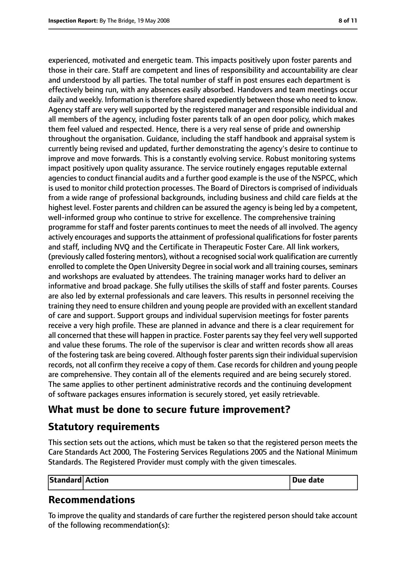experienced, motivated and energetic team. This impacts positively upon foster parents and those in their care. Staff are competent and lines of responsibility and accountability are clear and understood by all parties. The total number of staff in post ensures each department is effectively being run, with any absences easily absorbed. Handovers and team meetings occur daily and weekly. Information is therefore shared expediently between those who need to know. Agency staff are very well supported by the registered manager and responsible individual and all members of the agency, including foster parents talk of an open door policy, which makes them feel valued and respected. Hence, there is a very real sense of pride and ownership throughout the organisation. Guidance, including the staff handbook and appraisal system is currently being revised and updated, further demonstrating the agency's desire to continue to improve and move forwards. This is a constantly evolving service. Robust monitoring systems impact positively upon quality assurance. The service routinely engages reputable external agencies to conduct financial audits and a further good example is the use of the NSPCC, which is used to monitor child protection processes. The Board of Directors is comprised of individuals from a wide range of professional backgrounds, including business and child care fields at the highest level. Foster parents and children can be assured the agency is being led by a competent, well-informed group who continue to strive for excellence. The comprehensive training programme for staff and foster parents continues to meet the needs of all involved. The agency actively encourages and supports the attainment of professional qualifications for foster parents and staff, including NVQ and the Certificate in Therapeutic Foster Care. All link workers, (previously called fostering mentors), without a recognised social work qualification are currently enrolled to complete the Open University Degree in social work and all training courses, seminars and workshops are evaluated by attendees. The training manager works hard to deliver an informative and broad package. She fully utilises the skills of staff and foster parents. Courses are also led by external professionals and care leavers. This results in personnel receiving the training they need to ensure children and young people are provided with an excellent standard of care and support. Support groups and individual supervision meetings for foster parents receive a very high profile. These are planned in advance and there is a clear requirement for all concerned that these will happen in practice. Foster parents say they feel very well supported and value these forums. The role of the supervisor is clear and written records show all areas of the fostering task are being covered. Although foster parents sign their individual supervision records, not all confirm they receive a copy of them. Case records for children and young people are comprehensive. They contain all of the elements required and are being securely stored. The same applies to other pertinent administrative records and the continuing development of software packages ensures information is securely stored, yet easily retrievable.

# **What must be done to secure future improvement?**

# **Statutory requirements**

This section sets out the actions, which must be taken so that the registered person meets the Care Standards Act 2000, The Fostering Services Regulations 2005 and the National Minimum Standards. The Registered Provider must comply with the given timescales.

| Standard Action |  | <b>Due date</b> |
|-----------------|--|-----------------|
|-----------------|--|-----------------|

# **Recommendations**

To improve the quality and standards of care further the registered person should take account of the following recommendation(s):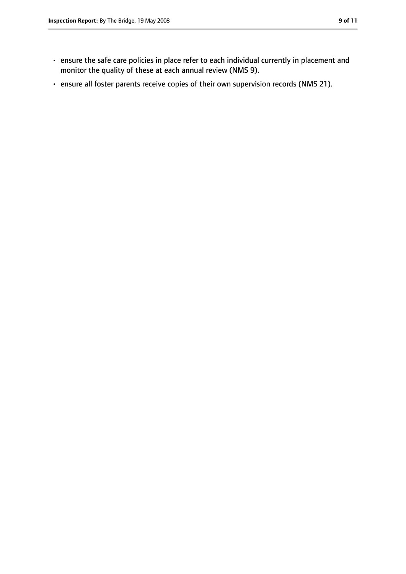- ensure the safe care policies in place refer to each individual currently in placement and monitor the quality of these at each annual review (NMS 9).
- ensure all foster parents receive copies of their own supervision records (NMS 21).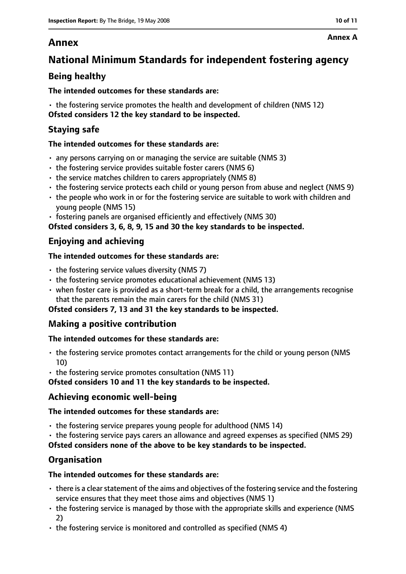# **Annex**

# **National Minimum Standards for independent fostering agency**

## **Being healthy**

### **The intended outcomes for these standards are:**

• the fostering service promotes the health and development of children (NMS 12) **Ofsted considers 12 the key standard to be inspected.**

### **Staying safe**

### **The intended outcomes for these standards are:**

- any persons carrying on or managing the service are suitable (NMS 3)
- the fostering service provides suitable foster carers (NMS 6)
- the service matches children to carers appropriately (NMS 8)
- the fostering service protects each child or young person from abuse and neglect (NMS 9)
- the people who work in or for the fostering service are suitable to work with children and young people (NMS 15)
- fostering panels are organised efficiently and effectively (NMS 30)

**Ofsted considers 3, 6, 8, 9, 15 and 30 the key standards to be inspected.**

## **Enjoying and achieving**

### **The intended outcomes for these standards are:**

- $\cdot$  the fostering service values diversity (NMS 7)
- the fostering service promotes educational achievement (NMS 13)
- when foster care is provided as a short-term break for a child, the arrangements recognise that the parents remain the main carers for the child (NMS 31)

### **Ofsted considers 7, 13 and 31 the key standards to be inspected.**

### **Making a positive contribution**

### **The intended outcomes for these standards are:**

- the fostering service promotes contact arrangements for the child or young person (NMS 10)
- the fostering service promotes consultation (NMS 11)

**Ofsted considers 10 and 11 the key standards to be inspected.**

### **Achieving economic well-being**

### **The intended outcomes for these standards are:**

- the fostering service prepares young people for adulthood (NMS 14)
- the fostering service pays carers an allowance and agreed expenses as specified (NMS 29)

**Ofsted considers none of the above to be key standards to be inspected.**

### **Organisation**

### **The intended outcomes for these standards are:**

- $\cdot$  there is a clear statement of the aims and objectives of the fostering service and the fostering service ensures that they meet those aims and objectives (NMS 1)
- the fostering service is managed by those with the appropriate skills and experience (NMS 2)
- the fostering service is monitored and controlled as specified (NMS 4)